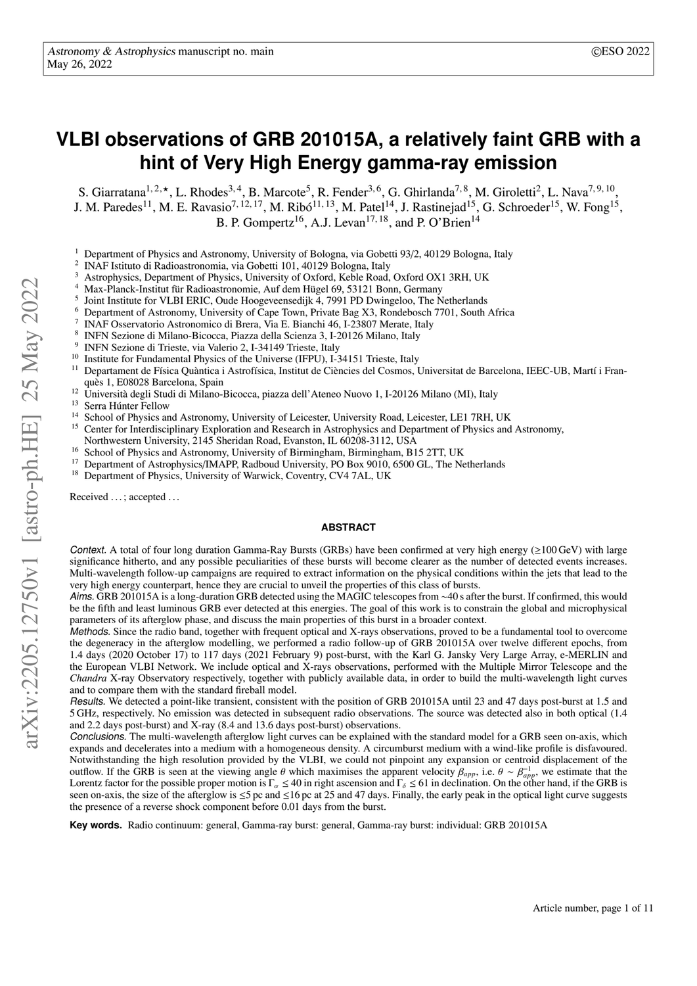# **VLBI observations of GRB 201015A, a relatively faint GRB with a hint of Very High Energy gamma-ray emission**

S. Giarratana<sup>1, 2, \*</sup>, L. Rhodes<sup>3, 4</sup>, B. Marcote<sup>5</sup>, R. Fender<sup>3, 6</sup>, G. Ghirlanda<sup>7, 8</sup>, M. Giroletti<sup>2</sup>, L. Nava<sup>7, 9, 10</sup>, J. M. Paredes<sup>11</sup>, M. E. Ravasio<sup>7, 12, 17</sup>, M. Ribó<sup>11, 13</sup>, M. Patel<sup>14</sup>, J. Rastinejad<sup>15</sup>, G. Schroeder<sup>15</sup>, W. Fong<sup>15</sup>, B. P. Gompertz<sup>16</sup>, A.J. Levan<sup>17, 18</sup>, and P. O'Brien<sup>14</sup>

- <sup>1</sup> Department of Physics and Astronomy, University of Bologna, via Gobetti 93/2, 40129 Bologna, Italy
- 2 INAF Istituto di Radioastronomia, via Gobetti 101, 40129 Bologna, Italy
- <sup>3</sup> Astrophysics, Department of Physics, University of Oxford, Keble Road, Oxford OX1 3RH, UK
- <sup>4</sup> Max-Planck-Institut für Radioastronomie, Auf dem Hügel 69, 53121 Bonn, Germany
- 5 Joint Institute for VLBI ERIC, Oude Hoogeveensedijk 4, 7991 PD Dwingeloo, The Netherlands
- <sup>6</sup> Department of Astronomy, University of Cape Town, Private Bag X3, Rondebosch 7701, South Africa
- 7 INAF Osservatorio Astronomico di Brera, Via E. Bianchi 46, I-23807 Merate, Italy
- 8 INFN Sezione di Milano-Bicocca, Piazza della Scienza 3, I-20126 Milano, Italy
- 9 INFN Sezione di Trieste, via Valerio 2, I-34149 Trieste, Italy
- <sup>10</sup> Institute for Fundamental Physics of the Universe (IFPU), I-34151 Trieste, Italy  $\frac{11}{2}$  Department de Férice Quèrties i Astrofísics Institute de Gèneire del Cosmos I
- <sup>11</sup> Departament de Física Quàntica i Astrofísica, Institut de Ciències del Cosmos, Universitat de Barcelona, IEEC-UB, Martí i Franquès 1, E08028 Barcelona, Spain
- <sup>12</sup> Università degli Studi di Milano-Bicocca, piazza dell'Ateneo Nuovo 1, I-20126 Milano (MI), Italy<br><sup>13</sup> Same Užitta Fellun
- $^{13}$  Serra Húnter Fellow
- <sup>14</sup> School of Physics and Astronomy, University of Leicester, University Road, Leicester, LE1 7RH, UK<br><sup>15</sup> Center for Interdisciplinary Exploration and Research in Astrophysics and Department of Physics and
- <sup>15</sup> Center for Interdisciplinary Exploration and Research in Astrophysics and Department of Physics and Astronomy,
- Northwestern University, 2145 Sheridan Road, Evanston, IL 60208-3112, USA
- <sup>16</sup> School of Physics and Astronomy, University of Birmingham, Birmingham, B15 2TT, UK<br><sup>17</sup> Department of Astronomy, University of Birmingham, Borge 0010, 6500 CL. The Ma
- <sup>17</sup> Department of Astrophysics/IMAPP, Radboud University, PO Box 9010, 6500 GL, The Netherlands<br><sup>18</sup> Department of Physics, University of Warwick, Coventry, CV4.7.61, UK Department of Physics, University of Warwick, Coventry, CV4 7AL, UK

Received ...; accepted ...

#### **ABSTRACT**

Context. A total of four long duration Gamma-Ray Bursts (GRBs) have been confirmed at very high energy ( $\geq 100$  GeV) with large significance hitherto, and any possible peculiarities of these bursts will become clearer as the number of detected events increases. Multi-wavelength follow-up campaigns are required to extract information on the physical conditions within the jets that lead to the very high energy counterpart, hence they are crucial to unveil the properties of this class of bursts.

Aims. GRB 201015A is a long-duration GRB detected using the MAGIC telescopes from ∼40 s after the burst. If confirmed, this would be the fifth and least luminous GRB ever detected at this energies. The goal of this work is to constrain the global and microphysical parameters of its afterglow phase, and discuss the main properties of this burst in a broader context.

Methods. Since the radio band, together with frequent optical and X-rays observations, proved to be a fundamental tool to overcome the degeneracy in the afterglow modelling, we performed a radio follow-up of GRB 201015A over twelve different epochs, from 1.4 days (2020 October 17) to 117 days (2021 February 9) post-burst, with the Karl G. Jansky Very Large Array, e-MERLIN and the European VLBI Network. We include optical and X-rays observations, performed with the Multiple Mirror Telescope and the *Chandra* X-ray Observatory respectively, together with publicly available data, in order to build the multi-wavelength light curves and to compare them with the standard fireball model.

Results. We detected a point-like transient, consistent with the position of GRB 201015A until 23 and 47 days post-burst at 1.5 and 5 GHz, respectively. No emission was detected in subsequent radio observations. The source was detected also in both optical (1.4 and 2.2 days post-burst) and X-ray (8.4 and 13.6 days post-burst) observations.

Conclusions. The multi-wavelength afterglow light curves can be explained with the standard model for a GRB seen on-axis, which expands and decelerates into a medium with a homogeneous density. A circumburst medium with a wind-like profile is disfavoured. Notwithstanding the high resolution provided by the VLBI, we could not pinpoint any expansion or centroid displacement of the outflow. If the GRB is seen at the viewing angle θ which maximises the apparent velocity  $β_{app}$ , i.e.  $θ ~ β_{app}^{\text{-1}}$ , we estimate that the order that the GRB is Lorentz factor for the possible proper motion is  $\Gamma_{\alpha} \leq 40$  in right ascension and  $\Gamma_{\delta} \leq 61$  in declination. On the other hand, if the GRB is seen on-axis, the size of the afterglow is  $\leq 5$  pc and  $\leq 16$  pc at 25 and 47 days. Finally, the early peak in the optical light curve suggests the presence of a reverse shock component before 0.01 days from the burst.

**Key words.** Radio continuum: general, Gamma-ray burst: general, Gamma-ray burst: individual: GRB 201015A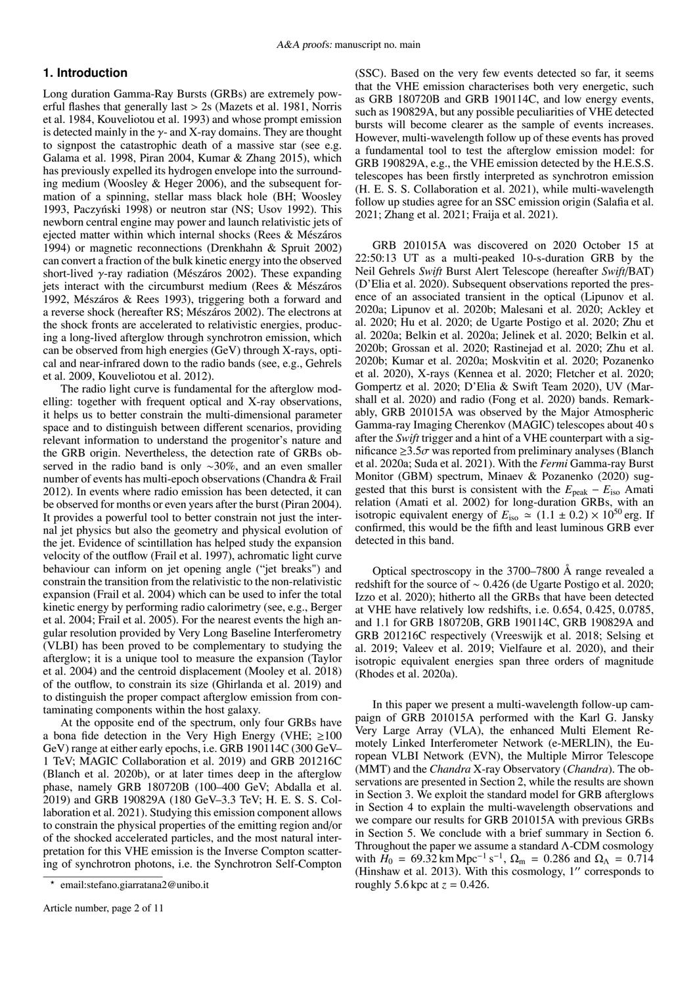# **1. Introduction**

Long duration Gamma-Ray Bursts (GRBs) are extremely powerful flashes that generally last > 2s [\(Mazets et al. 1981,](#page-10-0) [Norris](#page-10-1) [et al. 1984,](#page-10-1) [Kouveliotou et al. 1993\)](#page-10-2) and whose prompt emission is detected mainly in the  $\gamma$ - and X-ray domains. They are thought to signpost the catastrophic death of a massive star (see e.g. [Galama et al. 1998,](#page-10-3) [Piran 2004,](#page-10-4) [Kumar & Zhang 2015\)](#page-10-5), which has previously expelled its hydrogen envelope into the surrounding medium [\(Woosley & Heger 2006\)](#page-10-6), and the subsequent formation of a spinning, stellar mass black hole (BH; [Woosley](#page-10-7) [1993,](#page-10-7) Paczyński 1998) or neutron star (NS; [Usov 1992\)](#page-10-9). This newborn central engine may power and launch relativistic jets of ejected matter within which internal shocks [\(Rees & Mészáros](#page-10-10) [1994\)](#page-10-10) or magnetic reconnections [\(Drenkhahn & Spruit 2002\)](#page-10-11) can convert a fraction of the bulk kinetic energy into the observed short-lived γ-ray radiation [\(Mészáros 2002\)](#page-10-12). These expanding jets interact with the circumburst medium [\(Rees & Mészáros](#page-10-13) [1992,](#page-10-13) [Mészáros & Rees 1993\)](#page-10-14), triggering both a forward and a reverse shock (hereafter RS; [Mészáros 2002\)](#page-10-12). The electrons at the shock fronts are accelerated to relativistic energies, producing a long-lived afterglow through synchrotron emission, which can be observed from high energies (GeV) through X-rays, optical and near-infrared down to the radio bands (see, e.g., [Gehrels](#page-10-15) [et al. 2009,](#page-10-15) [Kouveliotou et al. 2012\)](#page-10-16).

The radio light curve is fundamental for the afterglow modelling: together with frequent optical and X-ray observations, it helps us to better constrain the multi-dimensional parameter space and to distinguish between different scenarios, providing relevant information to understand the progenitor's nature and the GRB origin. Nevertheless, the detection rate of GRBs observed in the radio band is only ∼30%, and an even smaller number of events has multi-epoch observations [\(Chandra & Frail](#page-10-17) [2012\)](#page-10-17). In events where radio emission has been detected, it can be observed for months or even years after the burst [\(Piran 2004\)](#page-10-4). It provides a powerful tool to better constrain not just the internal jet physics but also the geometry and physical evolution of the jet. Evidence of scintillation has helped study the expansion velocity of the outflow [\(Frail et al. 1997\)](#page-10-18), achromatic light curve behaviour can inform on jet opening angle ("jet breaks") and constrain the transition from the relativistic to the non-relativistic expansion [\(Frail et al. 2004\)](#page-10-19) which can be used to infer the total kinetic energy by performing radio calorimetry (see, e.g., [Berger](#page-9-0) [et al. 2004;](#page-9-0) [Frail et al. 2005\)](#page-10-20). For the nearest events the high angular resolution provided by Very Long Baseline Interferometry (VLBI) has been proved to be complementary to studying the afterglow; it is a unique tool to measure the expansion [\(Taylor](#page-10-21) [et al. 2004\)](#page-10-21) and the centroid displacement [\(Mooley et al. 2018\)](#page-10-22) of the outflow, to constrain its size [\(Ghirlanda et al. 2019\)](#page-10-23) and to distinguish the proper compact afterglow emission from contaminating components within the host galaxy.

At the opposite end of the spectrum, only four GRBs have a bona fide detection in the Very High Energy (VHE;  $\geq 100$ GeV) range at either early epochs, i.e. GRB 190114C (300 GeV– 1 TeV; [MAGIC Collaboration et al. 2019\)](#page-10-24) and GRB 201216C [\(Blanch et al. 2020b\)](#page-10-25), or at later times deep in the afterglow phase, namely GRB 180720B (100–400 GeV; [Abdalla et al.](#page-9-1) [2019\)](#page-9-1) and GRB 190829A (180 GeV–3.3 TeV; [H. E. S. S. Col](#page-10-26)[laboration et al. 2021\)](#page-10-26). Studying this emission component allows to constrain the physical properties of the emitting region and/or of the shocked accelerated particles, and the most natural interpretation for this VHE emission is the Inverse Compton scattering of synchrotron photons, i.e. the Synchrotron Self-Compton

(SSC). Based on the very few events detected so far, it seems that the VHE emission characterises both very energetic, such as GRB 180720B and GRB 190114C, and low energy events, such as 190829A, but any possible peculiarities of VHE detected bursts will become clearer as the sample of events increases. However, multi-wavelength follow up of these events has proved a fundamental tool to test the afterglow emission model: for GRB 190829A, e.g., the VHE emission detected by the H.E.S.S. telescopes has been firstly interpreted as synchrotron emission [\(H. E. S. S. Collaboration et al. 2021\)](#page-10-26), while multi-wavelength follow up studies agree for an SSC emission origin [\(Salafia et al.](#page-10-27) [2021;](#page-10-27) [Zhang et al. 2021;](#page-10-28) [Fraija et al. 2021\)](#page-10-29).

GRB 201015A was discovered on 2020 October 15 at 22:50:13 UT as a multi-peaked 10-s-duration GRB by the Neil Gehrels *Swift* Burst Alert Telescope (hereafter *Swift*/BAT) [\(D'Elia et al. 2020\)](#page-10-30). Subsequent observations reported the presence of an associated transient in the optical [\(Lipunov et al.](#page-10-31) [2020a;](#page-10-31) [Lipunov et al. 2020b;](#page-10-32) [Malesani et al. 2020;](#page-10-33) [Ackley et](#page-9-2) [al. 2020;](#page-9-2) [Hu et al. 2020;](#page-10-34) [de Ugarte Postigo et al. 2020;](#page-10-35) [Zhu et](#page-10-36) [al. 2020a;](#page-10-36) [Belkin et al. 2020a;](#page-9-3) [Jelinek et al. 2020;](#page-10-37) [Belkin et al.](#page-9-4) [2020b;](#page-9-4) [Grossan et al. 2020;](#page-10-38) [Rastinejad et al. 2020;](#page-10-39) [Zhu et al.](#page-10-40) [2020b;](#page-10-40) [Kumar et al. 2020a;](#page-10-41) [Moskvitin et al. 2020;](#page-10-42) [Pozanenko](#page-10-43) [et al. 2020\)](#page-10-43), X-rays [\(Kennea et al. 2020;](#page-10-44) [Fletcher et al. 2020;](#page-10-45) [Gompertz et al. 2020;](#page-10-46) [D'Elia & Swift Team 2020\)](#page-10-47), UV [\(Mar](#page-10-48)[shall et al. 2020\)](#page-10-48) and radio [\(Fong et al. 2020\)](#page-10-49) bands. Remarkably, GRB 201015A was observed by the Major Atmospheric Gamma-ray Imaging Cherenkov (MAGIC) telescopes about 40 s after the *Swift* trigger and a hint of a VHE counterpart with a significance  $\geq 3.5\sigma$  was reported from preliminary analyses [\(Blanch](#page-9-5) [et al. 2020a;](#page-9-5) [Suda et al. 2021\)](#page-10-50). With the *Fermi* Gamma-ray Burst Monitor (GBM) spectrum, [Minaev & Pozanenko](#page-10-51) [\(2020\)](#page-10-51) suggested that this burst is consistent with the  $E_{\text{peak}} - E_{\text{iso}}$  Amati relation [\(Amati et al. 2002\)](#page-9-6) for long-duration GRBs, with an isotropic equivalent energy of  $E_{\text{iso}} \approx (1.1 \pm 0.2) \times 10^{50}$  erg. If confirmed, this would be the fifth and least luminous GRB ever detected in this band.

Optical spectroscopy in the 3700–7800 Å range revealed a redshift for the source of <sup>∼</sup> <sup>0</sup>.426 [\(de Ugarte Postigo et al. 2020;](#page-10-35) [Izzo et al. 2020\)](#page-10-52); hitherto all the GRBs that have been detected at VHE have relatively low redshifts, i.e. 0.654, 0.425, 0.0785, and 1.1 for GRB 180720B, GRB 190114C, GRB 190829A and GRB 201216C respectively [\(Vreeswijk et al. 2018;](#page-10-53) [Selsing et](#page-10-54) [al. 2019;](#page-10-54) [Valeev et al. 2019;](#page-10-55) [Vielfaure et al. 2020\)](#page-10-56), and their isotropic equivalent energies span three orders of magnitude [\(Rhodes et al. 2020a\)](#page-10-57).

In this paper we present a multi-wavelength follow-up campaign of GRB 201015A performed with the Karl G. Jansky Very Large Array (VLA), the enhanced Multi Element Remotely Linked Interferometer Network (e-MERLIN), the European VLBI Network (EVN), the Multiple Mirror Telescope (MMT) and the *Chandra* X-ray Observatory (*Chandra*). The observations are presented in Section [2,](#page-2-0) while the results are shown in Section [3.](#page-3-0) We exploit the standard model for GRB afterglows in Section [4](#page-4-0) to explain the multi-wavelength observations and we compare our results for GRB 201015A with previous GRBs in Section [5.](#page-7-0) We conclude with a brief summary in Section [6.](#page-9-7) Throughout the paper we assume a standard Λ-CDM cosmology with  $\tilde{H}_0 = 69.32 \text{ km Mpc}^{-1} \text{ s}^{-1}$ ,  $\Omega_m = 0.286$  and  $\Omega_\Lambda = 0.714$ <br>(Hinshaw et al. 2013) With this cosmology 1'' corresponds to [\(Hinshaw et al. 2013\)](#page-10-58). With this cosmology,  $1''$  corresponds to roughly 5.6 kpc at  $z = 0.426$ .

<sup>?</sup> email:stefano.giarratana2@unibo.it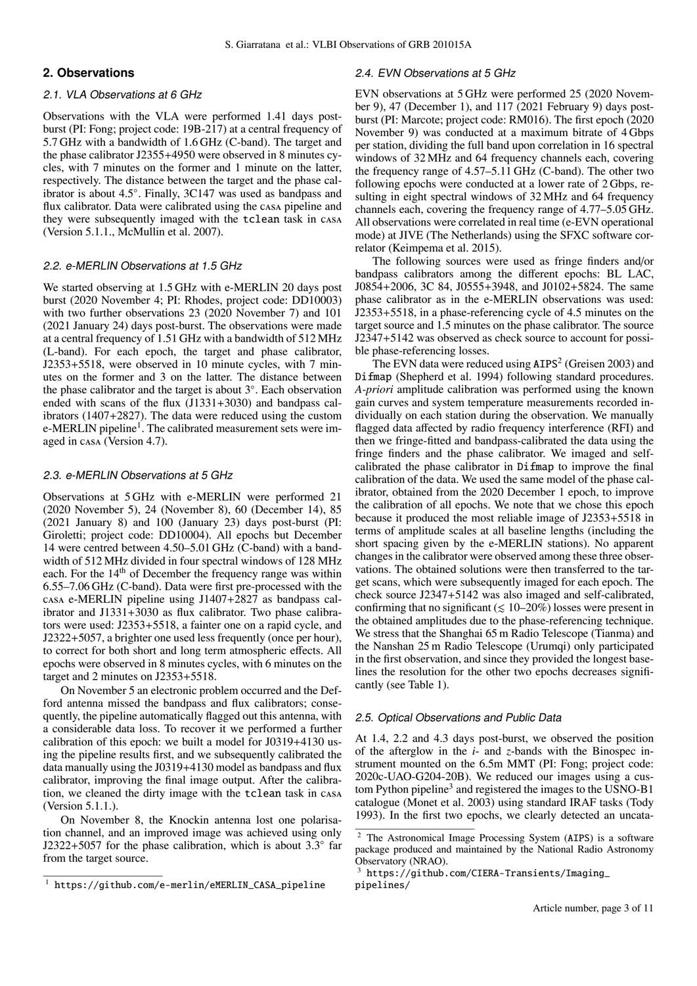# <span id="page-2-0"></span>**2. Observations**

## 2.1. VLA Observations at 6 GHz

Observations with the VLA were performed 1.41 days postburst (PI: Fong; project code: 19B-217) at a central frequency of 5.7 GHz with a bandwidth of 1.6 GHz (C-band). The target and the phase calibrator J2355+4950 were observed in 8 minutes cycles, with 7 minutes on the former and 1 minute on the latter, respectively. The distance between the target and the phase calibrator is about 4.5◦ . Finally, 3C147 was used as bandpass and flux calibrator. Data were calibrated using the casa pipeline and they were subsequently imaged with the tclean task in casa (Version 5.1.1., [McMullin et al. 2007\)](#page-10-59).

#### 2.2. e-MERLIN Observations at 1.5 GHz

We started observing at 1.5 GHz with e-MERLIN 20 days post burst (2020 November 4; PI: Rhodes, project code: DD10003) with two further observations 23 (2020 November 7) and 101 (2021 January 24) days post-burst. The observations were made at a central frequency of 1.51 GHz with a bandwidth of 512 MHz (L-band). For each epoch, the target and phase calibrator, J2353+5518, were observed in 10 minute cycles, with 7 minutes on the former and 3 on the latter. The distance between the phase calibrator and the target is about 3◦ . Each observation ended with scans of the flux (J1331+3030) and bandpass calibrators (1407+2827). The data were reduced using the custom e-MERLIN pipeline<sup>[1](#page-2-1)</sup>. The calibrated measurement sets were imaged in casa (Version 4.7).

#### 2.3. e-MERLIN Observations at 5 GHz

Observations at 5 GHz with e-MERLIN were performed 21 (2020 November 5), 24 (November 8), 60 (December 14), 85 (2021 January 8) and 100 (January 23) days post-burst (PI: Giroletti; project code: DD10004). All epochs but December 14 were centred between 4.50–5.01 GHz (C-band) with a bandwidth of 512 MHz divided in four spectral windows of 128 MHz each. For the 14<sup>th</sup> of December the frequency range was within 6.55–7.06 GHz (C-band). Data were first pre-processed with the casa e-MERLIN pipeline using J1407+2827 as bandpass calibrator and J1331+3030 as flux calibrator. Two phase calibrators were used: J2353+5518, a fainter one on a rapid cycle, and J2322+5057, a brighter one used less frequently (once per hour), to correct for both short and long term atmospheric effects. All epochs were observed in 8 minutes cycles, with 6 minutes on the target and 2 minutes on J2353+5518.

On November 5 an electronic problem occurred and the Defford antenna missed the bandpass and flux calibrators; consequently, the pipeline automatically flagged out this antenna, with a considerable data loss. To recover it we performed a further calibration of this epoch: we built a model for J0319+4130 using the pipeline results first, and we subsequently calibrated the data manually using the J0319+4130 model as bandpass and flux calibrator, improving the final image output. After the calibration, we cleaned the dirty image with the tclean task in casa (Version 5.1.1.).

On November 8, the Knockin antenna lost one polarisation channel, and an improved image was achieved using only J2322+5057 for the phase calibration, which is about  $3.3^\circ$  far from the target source.

## 2.4. EVN Observations at 5 GHz

EVN observations at 5 GHz were performed 25 (2020 November 9), 47 (December 1), and 117 (2021 February 9) days postburst (PI: Marcote; project code: RM016). The first epoch (2020 November 9) was conducted at a maximum bitrate of 4 Gbps per station, dividing the full band upon correlation in 16 spectral windows of 32 MHz and 64 frequency channels each, covering the frequency range of 4.57–5.11 GHz (C-band). The other two following epochs were conducted at a lower rate of 2 Gbps, resulting in eight spectral windows of 32 MHz and 64 frequency channels each, covering the frequency range of 4.77–5.05 GHz. All observations were correlated in real time (e-EVN operational mode) at JIVE (The Netherlands) using the SFXC software correlator [\(Keimpema et al. 2015\)](#page-10-60).

The following sources were used as fringe finders and/or bandpass calibrators among the different epochs: BL LAC, J0854+2006, 3C 84, J0555+3948, and J0102+5824. The same phase calibrator as in the e-MERLIN observations was used: J2353+5518, in a phase-referencing cycle of 4.5 minutes on the target source and 1.5 minutes on the phase calibrator. The source J2347+5142 was observed as check source to account for possible phase-referencing losses.

The EVN data were reduced using  $AIPS<sup>2</sup>$  $AIPS<sup>2</sup>$  $AIPS<sup>2</sup>$  [\(Greisen 2003\)](#page-10-61) and Difmap [\(Shepherd et al. 1994\)](#page-10-62) following standard procedures. *A-priori* amplitude calibration was performed using the known gain curves and system temperature measurements recorded individually on each station during the observation. We manually flagged data affected by radio frequency interference (RFI) and then we fringe-fitted and bandpass-calibrated the data using the fringe finders and the phase calibrator. We imaged and selfcalibrated the phase calibrator in Difmap to improve the final calibration of the data. We used the same model of the phase calibrator, obtained from the 2020 December 1 epoch, to improve the calibration of all epochs. We note that we chose this epoch because it produced the most reliable image of J2353+5518 in terms of amplitude scales at all baseline lengths (including the short spacing given by the e-MERLIN stations). No apparent changes in the calibrator were observed among these three observations. The obtained solutions were then transferred to the target scans, which were subsequently imaged for each epoch. The check source J2347+5142 was also imaged and self-calibrated, confirming that no significant  $(\leq 10-20\%)$  losses were present in the obtained amplitudes due to the phase-referencing technique. We stress that the Shanghai 65 m Radio Telescope (Tianma) and the Nanshan 25 m Radio Telescope (Urumqi) only participated in the first observation, and since they provided the longest baselines the resolution for the other two epochs decreases significantly (see Table [1\)](#page-4-1).

### 2.5. Optical Observations and Public Data

At 1.4, 2.2 and 4.3 days post-burst, we observed the position of the afterglow in the *i*- and *z*-bands with the Binospec instrument mounted on the 6.5m MMT (PI: Fong; project code: 2020c-UAO-G204-20B). We reduced our images using a cus-tom Python pipeline<sup>[3](#page-2-3)</sup> and registered the images to the USNO-B1 catalogue [\(Monet et al. 2003\)](#page-10-63) using standard IRAF tasks [\(Tody](#page-10-64) [1993\)](#page-10-64). In the first two epochs, we clearly detected an uncata-

<span id="page-2-1"></span><sup>1</sup> [https://github.com/e-merlin/eMERLIN\\_CASA\\_pipeline](https://github.com/e-merlin/eMERLIN_CASA_pipeline)

<span id="page-2-2"></span><sup>2</sup> The Astronomical Image Processing System (AIPS) is a software package produced and maintained by the National Radio Astronomy Observatory (NRAO).

<span id="page-2-3"></span>[https://github.com/CIERA-Transients/Imaging\\_](https://github.com/CIERA-Transients/Imaging_pipelines/) [pipelines/](https://github.com/CIERA-Transients/Imaging_pipelines/)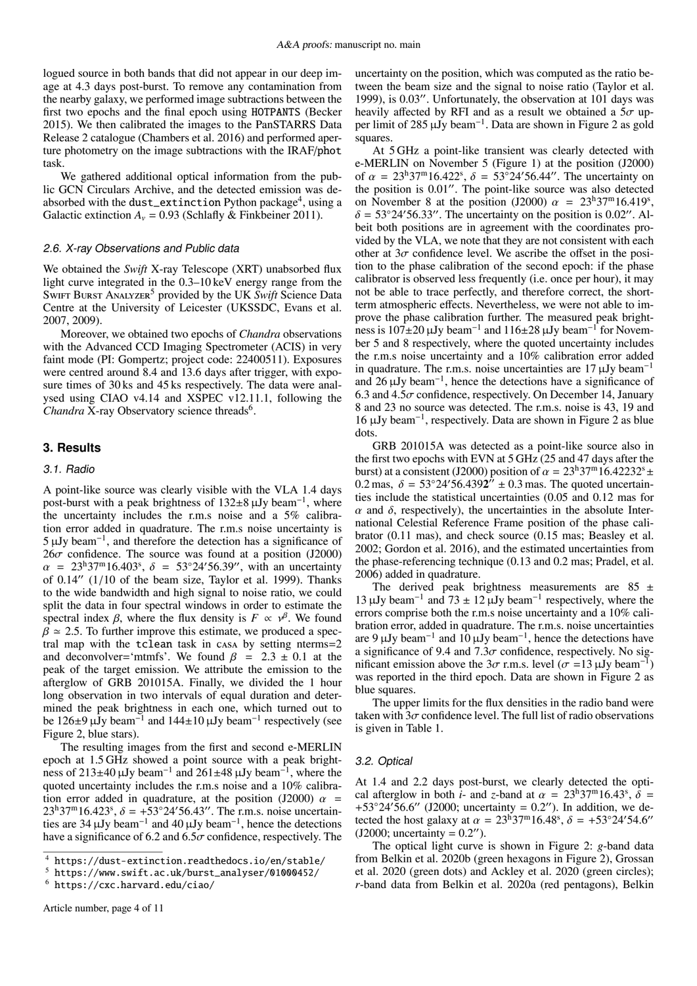logued source in both bands that did not appear in our deep image at 4.3 days post-burst. To remove any contamination from the nearby galaxy, we performed image subtractions between the first two epochs and the final epoch using HOTPANTS [\(Becker](#page-9-8) [2015\)](#page-9-8). We then calibrated the images to the PanSTARRS Data Release 2 catalogue [\(Chambers et al. 2016\)](#page-10-65) and performed aperture photometry on the image subtractions with the IRAF/phot task.

We gathered additional optical information from the public GCN Circulars Archive, and the detected emission was deabsorbed with the  $\texttt{dust\_extinction}$  Python package $^4$  $^4$ , using a Galactic extinction  $A_v = 0.93$  [\(Schlafly & Finkbeiner 2011\)](#page-10-66).

#### 2.6. X-ray Observations and Public data

We obtained the *Swift* X-ray Telescope (XRT) unabsorbed flux light curve integrated in the 0.3–10 keV energy range from the SWIFT BURST ANALYZER<sup>[5](#page-3-2)</sup> provided by the UK Swift Science Data Centre at the University of Leicester (UKSSDC, [Evans et al.](#page-10-67) [2007,](#page-10-67) [2009\)](#page-10-68).

Moreover, we obtained two epochs of *Chandra* observations with the Advanced CCD Imaging Spectrometer (ACIS) in very faint mode (PI: Gompertz; project code: 22400511). Exposures were centred around 8.4 and 13.6 days after trigger, with exposure times of 30 ks and 45 ks respectively. The data were analysed using CIAO v4.14 and XSPEC v12.11.1, following the Chandra X-ray Observatory science threads<sup>[6](#page-3-3)</sup>.

## <span id="page-3-0"></span>**3. Results**

#### 3.1. Radio

A point-like source was clearly visible with the VLA 1.4 days post-burst with a peak brightness of 132±8 μJy beam<sup>-1</sup>, where the uncertainty includes the r.m.s noise and a 5% calibration error added in quadrature. The r.m.s noise uncertainty is 5 µJy beam<sup>−</sup><sup>1</sup> , and therefore the detection has a significance of  $26\sigma$  confidence. The source was found at a position (J2000)  $\alpha = 23^{\text{h}}37^{\text{m}}16.403^{\text{s}}, \delta = 53^{\circ}24'56.39''$ , with an uncertainty of 0.14'' (1/10 of the beam size. Taylor et al. 1999). Thanks of  $0.14''$  ( $1/10$  of the beam size, [Taylor et al. 1999\)](#page-10-69). Thanks to the wide bandwidth and high signal to noise ratio, we could split the data in four spectral windows in order to estimate the spectral index  $\beta$ , where the flux density is  $F \propto \gamma^{\beta}$ . We found  $\beta \simeq 2.5$  To further improve this estimate we produced a spec- $\beta \approx 2.5$ . To further improve this estimate, we produced a spectral map with the tclean task in casa by setting nterms=2 and deconvolver='mtmfs'. We found  $\beta$  = 2.3  $\pm$  0.1 at the peak of the target emission. We attribute the emission to the afterglow of GRB 201015A. Finally, we divided the 1 hour long observation in two intervals of equal duration and determined the peak brightness in each one, which turned out to be 126 $\pm$ 9  $\mu$ Jy beam<sup>-1</sup> and 144 $\pm$ 10  $\mu$ Jy beam<sup>-1</sup> respectively (see Figure [2,](#page-5-0) blue stars).

The resulting images from the first and second e-MERLIN epoch at 1.5 GHz showed a point source with a peak brightness of 213±40  $\mu$ Jy beam<sup>-1</sup> and 261±48  $\mu$ Jy beam<sup>-1</sup>, where the quoted uncertainty includes the r.m.s noise and a 10% calibration error added in quadrature, at the position (J2000)  $\alpha$  =  $23^{\text{h}}37^{\text{m}}16.423^{\text{s}}$ ,  $\delta = +53^{\circ}24'56.43''$ . The r.m.s. noise uncertainties are 34  $\mu$  IV beam<sup>-1</sup> and 40  $\mu$  IV beam<sup>-1</sup> hence the detections ties are 34  $\mu$ Jy beam<sup>-1</sup> and 40  $\mu$ Jy beam<sup>-1</sup>, hence the detections have a significance of 6.2 and  $6.5\sigma$  confidence, respectively. The uncertainty on the position, which was computed as the ratio between the beam size and the signal to noise ratio [\(Taylor et al.](#page-10-69) [1999\)](#page-10-69), is  $0.03''$ . Unfortunately, the observation at 101 days was heavily affected by RFI and as a result we obtained a  $5\sigma$  upper limit of [2](#page-5-0)85  $\mu$ Jy beam<sup>-1</sup>. Data are shown in Figure 2 as gold squares.

At 5 GHz a point-like transient was clearly detected with e-MERLIN on November 5 (Figure [1\)](#page-4-2) at the position (J2000) of  $\alpha = 23^{\text{h}}37^{\text{m}}16.422^{\text{s}}$ ,  $\delta = 53^{\circ}24'56.44''$ . The uncertainty on the nosition is 0.01". The point-like source was also detected the position is  $0.01$ ". The point-like source was also detected on November 8 at the position (J2000)  $\alpha = 23^{\text{h}}37^{\text{m}}16.419^{\text{s}}$ ,<br>  $\delta = 53^{\circ}24'5633''$  The uncertainty on the position is 0.02" Al- $\delta = 53^{\circ}24'56.33''$ . The uncertainty on the position is 0.02". Albeit both positions are in agreement with the coordinates provided by the VLA, we note that they are not consistent with each other at  $3\sigma$  confidence level. We ascribe the offset in the position to the phase calibration of the second epoch: if the phase calibrator is observed less frequently (i.e. once per hour), it may not be able to trace perfectly, and therefore correct, the shortterm atmospheric effects. Nevertheless, we were not able to improve the phase calibration further. The measured peak brightness is  $107\pm 20 \,\mu\text{Jy beam}^{-1}$  and  $116\pm 28 \,\mu\text{Jy beam}^{-1}$  for November 5 and 8 respectively, where the quoted uncertainty includes the r.m.s noise uncertainty and a 10% calibration error added in quadrature. The r.m.s. noise uncertainties are  $17 \mu Jy$  beam<sup>-1</sup> and  $26 \mu Jy beam^{-1}$ , hence the detections have a significance of 6.3 and  $4.5\sigma$  confidence, respectively. On December 14, January 8 and 23 no source was detected. The r.m.s. noise is 43, 19 and 16 µJy beam<sup>−</sup><sup>1</sup> , respectively. Data are shown in Figure [2](#page-5-0) as blue dots.

GRB 201015A was detected as a point-like source also in the first two epochs with EVN at 5 GHz (25 and 47 days after the burst) at a consistent (J2000) position of  $\alpha = 23^{\text{h}}37^{\text{m}}16.42232^{\text{s}}$  ± 0.2 mas,  $\delta = 53°24'56.4392'' \pm 0.3$  mas. The quoted uncertainties include the statistical uncertainties (0.05 and 0.12 mas for ties include the statistical uncertainties (0.05 and 0.12 mas for  $\alpha$  and  $\delta$ , respectively), the uncertainties in the absolute International Celestial Reference Frame position of the phase calibrator (0.11 mas), and check source (0.15 mas; [Beasley et al.](#page-9-9) [2002;](#page-9-9) [Gordon et al. 2016\)](#page-10-70), and the estimated uncertainties from the phase-referencing technique (0.13 and 0.2 mas; [Pradel, et al.](#page-10-71) [2006\)](#page-10-71) added in quadrature.

The derived peak brightness measurements are  $85 \pm$ 13 μJy beam<sup>-1</sup> and 73 ± 12 μJy beam<sup>-1</sup> respectively, where the errors comprise both the r.m.s noise uncertainty and a 10% calibration error, added in quadrature. The r.m.s. noise uncertainties are 9  $\mu$ Jy beam<sup>-1</sup> and 10  $\mu$ Jy beam<sup>-1</sup>, hence the detections have a significance of 9.4 and  $7.3\sigma$  confidence, respectively. No significant emission above the 3 $\sigma$  r.m.s. level ( $\sigma = 13 \mu$ Jy beam<sup>-1</sup>) was reported in the third epoch. Data are shown in Figure 2 as was reported in the third epoch. Data are shown in Figure [2](#page-5-0) as blue squares.

The upper limits for the flux densities in the radio band were taken with  $3\sigma$  confidence level. The full list of radio observations is given in Table [1.](#page-4-1)

#### 3.2. Optical

At 1.4 and 2.2 days post-burst, we clearly detected the optical afterglow in both *i*- and *z*-band at  $\alpha = 23^{\text{h}}37^{\text{m}}16.43^{\text{s}}$ ,  $\delta =$ <br>+53°24′56.6" (12000; uncertainty = 0.2"). In addition, we de-+53°24′56.6" (J2000; uncertainty = 0.2"). In addition, we de-<br>tected the host galaxy at  $\alpha = 23^{\text{h}}37^{\text{m}}16.48^{\text{s}}$   $\delta = +53^{\circ}24'54.6''$ tected the host galaxy at  $\alpha = 23^{\circ}37^{\circ}16.48^{\circ}$ ,  $\delta = +53^{\circ}24'54.6''$ <br>(12000: uncertainty = 0.2") (J2000; uncertainty =  $0.2$ ").

The optical light curve is shown in Figure [2:](#page-5-0) *g*-band data from [Belkin et al. 2020b](#page-9-4) (green hexagons in Figure [2\)](#page-5-0), [Grossan](#page-10-38) [et al. 2020](#page-10-38) (green dots) and [Ackley et al. 2020](#page-9-2) (green circles); *r*-band data from [Belkin et al. 2020a](#page-9-3) (red pentagons), [Belkin](#page-9-4)

<span id="page-3-1"></span><sup>4</sup> <https://dust-extinction.readthedocs.io/en/stable/>

<span id="page-3-2"></span><sup>5</sup> [https://www.swift.ac.uk/burst\\_analyser/01000452/](https://www.swift.ac.uk/burst_analyser/01000452/)

<span id="page-3-3"></span><sup>6</sup> <https://cxc.harvard.edu/ciao/>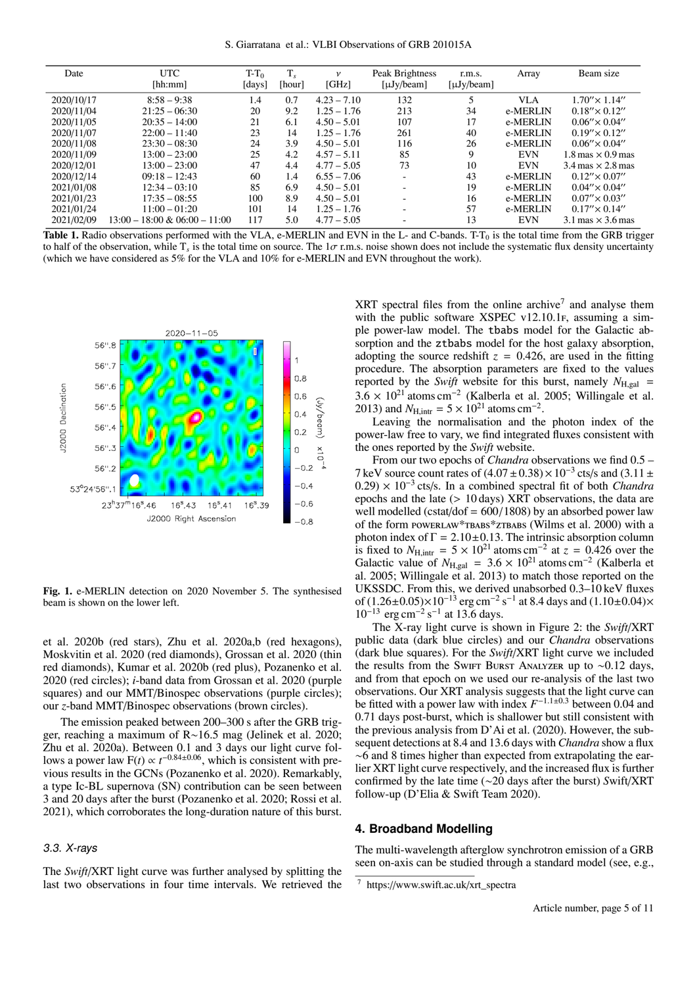S. Giarratana et al.: VLBI Observations of GRB 201015A

| Date       | <b>UTC</b><br>[hh:mm]            | $T-T_0$<br>[days] | [hour] | $\mathcal V$<br>[GHz] | Peak Brightness<br>$\lceil \mu Jy/beam \rceil$ | r.m.s.<br>$\lceil \mu Jy/beam \rceil$ | Array      | Beam size                                  |
|------------|----------------------------------|-------------------|--------|-----------------------|------------------------------------------------|---------------------------------------|------------|--------------------------------------------|
| 2020/10/17 | $8:58 - 9:38$                    | 1.4               | 0.7    | $4.23 - 7.10$         | 132                                            | 5                                     | VLA        | $1.70'' \times 1.14''$                     |
| 2020/11/04 | $21:25 - 06:30$                  | 20                | 9.2    | $1.25 - 1.76$         | 213                                            | 34                                    | e-MERLIN   | $0.18'' \times 0.12''$                     |
| 2020/11/05 | $20:35 - 14:00$                  | 21                | 6.1    | $4.50 - 5.01$         | 107                                            | 17                                    | e-MERLIN   | $0.06'' \times 0.04''$                     |
| 2020/11/07 | $22:00 - 11:40$                  | 23                | 14     | $1.25 - 1.76$         | 261                                            | 40                                    | e-MERLIN   | $0.19'' \times 0.12''$                     |
| 2020/11/08 | $23:30 - 08:30$                  | 24                | 3.9    | $4.50 - 5.01$         | 116                                            | 26                                    | e-MERLIN   | $0.06'' \times 0.04''$                     |
| 2020/11/09 | $13:00 - 23:00$                  | 25                | 4.2    | $4.57 - 5.11$         | 85                                             | 9                                     | <b>EVN</b> | $1.8 \,\text{mas} \times 0.9 \,\text{mas}$ |
| 2020/12/01 | $13:00 - 23:00$                  | 47                | 4.4    | $4.77 - 5.05$         | 73                                             | 10                                    | <b>EVN</b> | $3.4 \text{ mas} \times 2.8 \text{ mas}$   |
| 2020/12/14 | $09:18 - 12:43$                  | 60                | 1.4    | $6.55 - 7.06$         | $\overline{\phantom{a}}$                       | 43                                    | e-MERLIN   | $0.12'' \times 0.07''$                     |
| 2021/01/08 | $12:34 - 03:10$                  | 85                | 6.9    | $4.50 - 5.01$         | $\sim$                                         | 19                                    | e-MERLIN   | $0.04'' \times 0.04''$                     |
| 2021/01/23 | $17:35 - 08:55$                  | 100               | 8.9    | $4.50 - 5.01$         | $\overline{\phantom{a}}$                       | 16                                    | e-MERLIN   | $0.07'' \times 0.03''$                     |
| 2021/01/24 | $11:00 - 01:20$                  | 101               | 14     | $1.25 - 1.76$         | $\overline{\phantom{a}}$                       | 57                                    | e-MERLIN   | $0.17'' \times 0.14''$                     |
| 2021/02/09 | $13:00 - 18:00 \& 06:00 - 11:00$ | 117               | 5.0    | $4.77 - 5.05$         |                                                | 13                                    | <b>EVN</b> | $3.1 \text{ mas} \times 3.6 \text{ mas}$   |

<span id="page-4-1"></span>**Table 1.** [R](#page-9-4)adio observations performed with the VLA, e-MERLIN and EVN in the L- and C-bands. T- $T_0$  $T_0$  is the total time from the GRB trigger to half of the ob[s](#page-9-4)ervation, while  $T_s$  is the total time on source. The  $1\sigma$  r.m.s. noise shown does not include the systematic flux density uncertainty<br>(which we have considered as 5% for the VLA and 10% for e-MERLIN an (which we have considered as 5% for the VLA and 10% for e-MERLIN and EVN throughout the work).



<span id="page-4-2"></span>Fig. 1. e-MERLIN detection on 2020 November 5. The synthesised beam is shown on the lower left.

[et al. 2020b](#page-9-4) (red stars), [Zhu et al. 2020a](#page-10-36)[,b](#page-10-40) (red hexagons), [Moskvitin et al. 2020](#page-10-42) (red diamonds), [Grossan et al. 2020](#page-10-38) (thin red diamonds), [Kumar et al. 2020b](#page-10-72) (red plus), [Pozanenko et al.](#page-10-43) [2020](#page-10-43) (red circles); *i*-band data from [Grossan et al. 2020](#page-10-38) (purple squares) and our MMT/Binospec observations (purple circles); our *z*-band MMT/Binospec observations (brown circles).

The emission peaked between 200–300 s after the GRB trigger, reaching a maximum of R∼16.5 mag [\(Jelinek et al. 2020;](#page-10-37) [Zhu et al. 2020a\)](#page-10-36). Between 0.1 and 3 days our light curve follows a power law  $F(t) \propto t^{-0.84 \pm 0.06}$ , which is consistent with previous results in the GCNs [\(Pozanenko et al. 2020\)](#page-10-43). Remarkably, a type Ic-BL supernova (SN) contribution can be seen between 3 and 20 days after the burst [\(Pozanenko et al. 2020;](#page-10-43) [Rossi et al.](#page-10-73) [2021\)](#page-10-73), which corroborates the long-duration nature of this burst.

#### 3.3. X-rays

The *Swift*/XRT light curve was further analysed by splitting the last two observations in four time intervals. We retrieved the

 $XRT$  spectral files from the online archive<sup>[7](#page-4-3)</sup> and analyse them with the public software XSPEC  $v12.10.1$ F, assuming a simple power-law model. The tbabs model for the Galactic absorption and the ztbabs model for the host galaxy absorption, adopting the source redshift  $z = 0.426$ , are used in the fitting procedure. The absorption parameters are fixed to the values reported by the *Swift* website for this burst, namely  $N_{\text{H,gal}}$  =  $3.6 \times 10^{21}$  atoms cm<sup>-2</sup> [\(Kalberla et al. 2005;](#page-10-74) [Willingale et al.](#page-10-75) 2013) and  $N_{\text{Uine}} = 5 \times 10^{21}$  atoms cm<sup>-2</sup> [2013\)](#page-10-75) and  $N_{\text{H,intr}} = 5 \times 10^{21}$  atoms cm<sup>-2</sup>.<br>Leaving the normalisation and the

Leaving the normalisation and the photon index of the power-law free to vary, we find integrated fluxes consistent with the ones reported by the *Swift* website.

From our two epochs of *Chandra* observations we find 0.5 – 7 keV source count rates of  $(4.07 \pm 0.38) \times 10^{-3}$  cts/s and  $(3.11 \pm 0.29) \times 10^{-3}$  cts/s. In a combined spectral fit of both *Chandra*  $(0.29) \times 10^{-3}$  cts/s. In a combined spectral fit of both *Chandra* epochs and the late (> 10 days) XRT observations the data are epochs and the late (> 10 days) XRT observations, the data are well modelled (cstat/dof =  $600/1808$ ) by an absorbed power law of the form powerLAW\*TBABS\*ZTBABS [\(Wilms et al. 2000\)](#page-10-76) with a photon index of  $\Gamma = 2.10 \pm 0.13$ . The intrinsic absorption column<br>is fixed to  $N_{\text{Uistr}} = 5 \times 10^{21}$  atoms cm<sup>-2</sup> at  $z = 0.426$  over the is fixed to  $N_{\text{H,intr}} = 5 \times 10^{21}$  atoms cm<sup>-2</sup> at  $z = 0.426$  over the Galactic value of  $N_{\text{H,inr}} = 3.6 \times 10^{21}$  atoms cm<sup>-2</sup> (Kalberla et Galactic value of  $N_{\text{H,gal}} = 3.6 \times 10^{21}$  atoms cm<sup>-2</sup> [\(Kalberla et](#page-10-74) al. 2005: Willingale et al. 2013) to match those reported on the [al. 2005;](#page-10-74) [Willingale et al. 2013\)](#page-10-75) to match those reported on the UKSSDC. From this, we derived unabsorbed 0.3–10 keV fluxes UKSSDC. From this, we derived unabsorbed 0.3–10 keV fluxes<br>of (1.26+0.05)×10<sup>-13</sup> erg cm<sup>-2</sup> s<sup>-1</sup> at 8.4 days and (1.10+0.04)× of  $(1.26 \pm 0.05) \times 10^{-13}$  erg cm<sup>-2</sup> s<sup>-1</sup> at 8.4 days and  $(1.10 \pm 0.04) \times 10^{-13}$  erg cm<sup>-2</sup> s<sup>-1</sup> at 13.6 days  $10^{-13}$  erg cm<sup>-2</sup> s<sup>-1</sup> at 13.6 days.<br>The X-ray light curve is sh

The X-ray light curve is shown in Figure [2:](#page-5-0) the *Swift*/XRT public data (dark blue circles) and our *Chandra* observations (dark blue squares). For the *Swift*/XRT light curve we included the results from the SwiFt Burst Analyzer up to ~0.12 days, and from that epoch on we used our re-analysis of the last two observations. Our XRT analysis suggests that the light curve can be fitted with a power law with index  $F^{-1.1\pm0.3}$  between 0.04 and 0.71 days post-burst, which is shallower but still consistent with the previous analysis from [D'Ai et al.](#page-10-77) [\(2020\)](#page-10-77). However, the subsequent detections at 8.4 and 13.6 days with *Chandra* show a flux ∼6 and 8 times higher than expected from extrapolating the earlier XRT light curve respectively, and the increased flux is further confirmed by the late time (∼20 days after the burst) *S*wift/XRT follow-up [\(D'Elia & Swift Team 2020\)](#page-10-47).

#### <span id="page-4-0"></span>**4. Broadband Modelling**

The multi-wavelength afterglow synchrotron emission of a GRB seen on-axis can be studied through a standard model (see, e.g.,

<span id="page-4-3"></span><sup>7</sup> https://www.swift.ac.uk/xrt\_spectra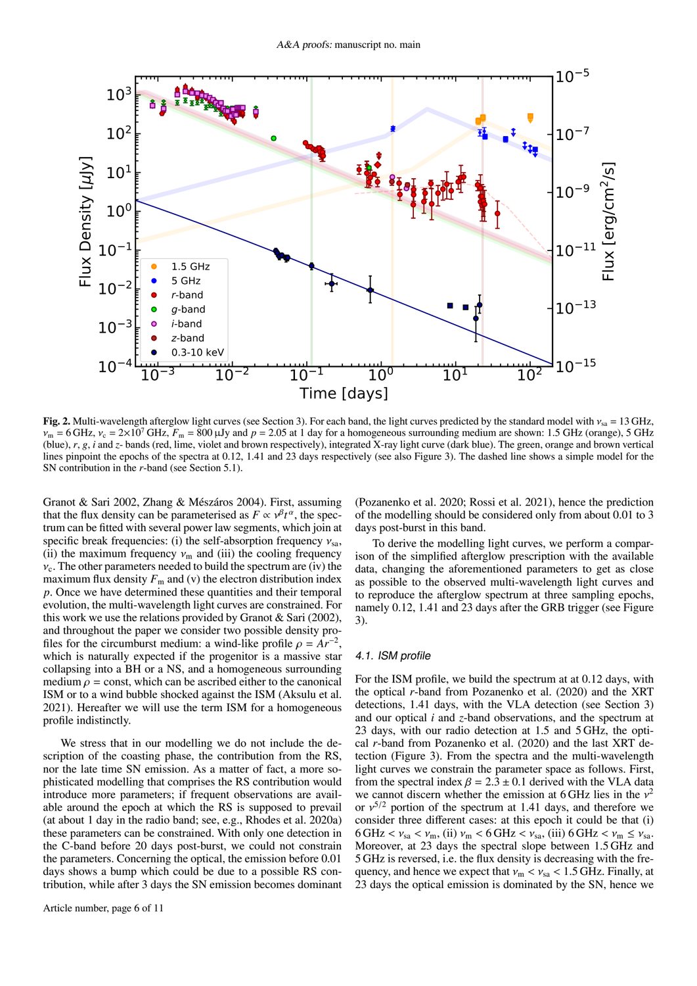

<span id="page-5-0"></span>Fig. 2. Multi-wavelength afterglow light curves (see Section [3\)](#page-3-0). For each band, the light curves predicted by the standard model with  $v_{sa} = 13 \text{ GHz}$ ,  $v_{\rm m}$  = 6 GHz,  $v_{\rm c}$  = 2×10<sup>7</sup> GHz,  $F_{\rm m}$  = 800 µJy and  $p$  = 2.05 at 1 day for a homogeneous surrounding medium are shown: 1.5 GHz (orange), 5 GHz (blue), *r*, *g*, *i* and *z*- bands (red, lime, violet and brown respectively), integrated X-ray light curve (dark blue). The green, orange and brown vertical lines pinpoint the epochs of the spectra at 0.12, 1.41 and 23 days respectively (see also Figure [3\)](#page-6-0). The dashed line shows a simple model for the SN contribution in the *r*-band (see Section [5.1\)](#page-8-0).

[Granot & Sari 2002,](#page-10-78) [Zhang & Mészáros 2004\)](#page-10-79). First, assuming that the flux density can be parameterised as  $F \propto v^{\beta} t^{\alpha}$ , the spectrum can be fitted with several nower law segments, which join at trum can be fitted with several power law segments, which join at specific break frequencies: (i) the self-absorption frequency  $v_{sa}$ , (ii) the maximum frequency  $v_m$  and (iii) the cooling frequency  $v_c$ . The other parameters needed to build the spectrum are (iv) the maximum flux density  $F_m$  and (v) the electron distribution index *p*. Once we have determined these quantities and their temporal evolution, the multi-wavelength light curves are constrained. For this work we use the relations provided by Granot  $\&$  Sari [\(2002\)](#page-10-78), and throughout the paper we consider two possible density profiles for the circumburst medium: a wind-like profile  $\rho = Ar^{-2}$ , which is naturally expected if the progenitor is a massive star which is naturally expected if the progenitor is a massive star collapsing into a BH or a NS, and a homogeneous surrounding medium  $\rho$  = const, which can be ascribed either to the canonical ISM or to a wind bubble shocked against the ISM [\(Aksulu et al.](#page-9-10) [2021\)](#page-9-10). Hereafter we will use the term ISM for a homogeneous profile indistinctly.

We stress that in our modelling we do not include the description of the coasting phase, the contribution from the RS, nor the late time SN emission. As a matter of fact, a more sophisticated modelling that comprises the RS contribution would introduce more parameters; if frequent observations are available around the epoch at which the RS is supposed to prevail (at about 1 day in the radio band; see, e.g., [Rhodes et al. 2020a\)](#page-10-57) these parameters can be constrained. With only one detection in the C-band before 20 days post-burst, we could not constrain the parameters. Concerning the optical, the emission before 0.01 days shows a bump which could be due to a possible RS contribution, while after 3 days the SN emission becomes dominant

Article number, page 6 of 11

[\(Pozanenko et al. 2020;](#page-10-43) [Rossi et al. 2021\)](#page-10-73), hence the prediction of the modelling should be considered only from about 0.01 to 3 days post-burst in this band.

To derive the modelling light curves, we perform a comparison of the simplified afterglow prescription with the available data, changing the aforementioned parameters to get as close as possible to the observed multi-wavelength light curves and to reproduce the afterglow spectrum at three sampling epochs, namely 0.12, 1.41 and 23 days after the GRB trigger (see Figure [3\)](#page-6-0).

#### 4.1. ISM profile

For the ISM profile, we build the spectrum at at 0.12 days, with the optical *r*-band from [Pozanenko et al.](#page-10-43) [\(2020\)](#page-10-43) and the XRT detections, 1.41 days, with the VLA detection (see Section [3\)](#page-3-0) and our optical *i* and *z*-band observations, and the spectrum at 23 days, with our radio detection at 1.5 and 5 GHz, the optical *r*-band from [Pozanenko et al.](#page-10-43) [\(2020\)](#page-10-43) and the last XRT detection (Figure [3\)](#page-6-0). From the spectra and the multi-wavelength light curves we constrain the parameter space as follows. First, from the spectral index  $\beta = 2.3 \pm 0.1$  derived with the VLA data we cannot discern whether the emission at 6 GHz lies in the  $v^2$ <br>or  $v^{5/2}$  portion of the spectrum at 1.41 days and therefore we or  $v^{5/2}$  portion of the spectrum at 1.41 days, and therefore we consider three different cases; at this epoch it could be that (i) consider three different cases: at this epoch it could be that (i)  $6 \text{ GHz} < v_{\text{sa}} < v_{\text{m}}$ , (ii)  $v_{\text{m}} < 6 \text{ GHz} < v_{\text{sa}}$ , (iii)  $6 \text{ GHz} < v_{\text{m}} \le v_{\text{sa}}$ . Moreover, at 23 days the spectral slope between 1.5 GHz and 5 GHz is reversed, i.e. the flux density is decreasing with the frequency, and hence we expect that  $v_m < v_{sa} < 1.5$  GHz. Finally, at 23 days the optical emission is dominated by the SN, hence we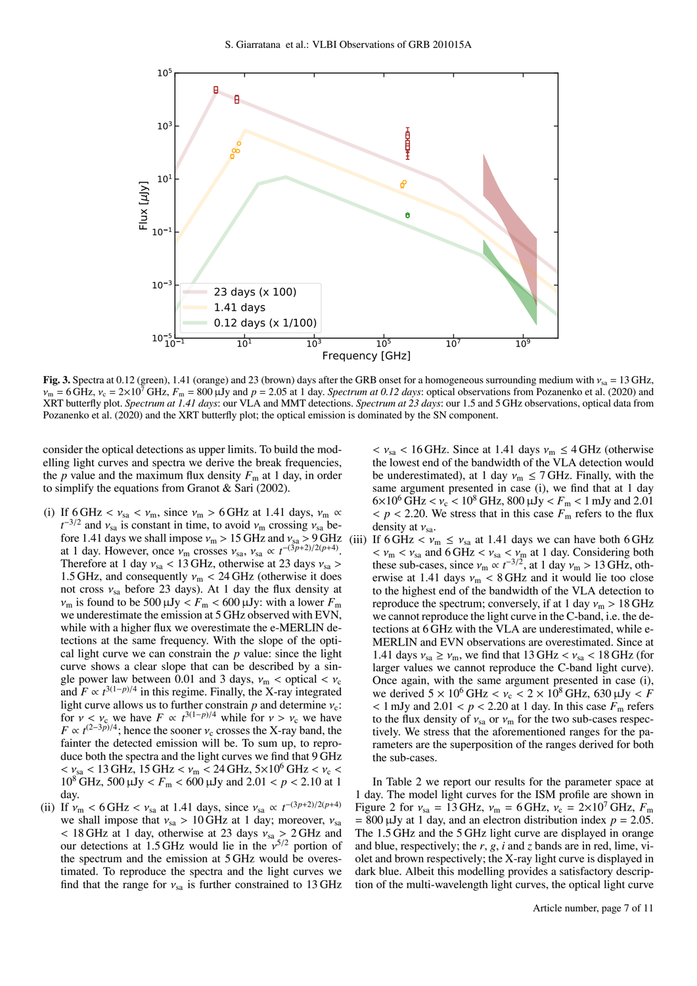

<span id="page-6-0"></span>Fig. 3. Spectra at 0.12 (green), 1.41 (orange) and 23 (brown) days after the GRB onset for a homogeneous surrounding medium with  $v_{sa} = 13$  GHz,  $v_m = 6 \text{ GHz}, v_c = 2 \times 10^7 \text{ GHz}, F_m = 800 \mu \text{Jy}$  and  $p = 2.05$  at 1 day. *Spectrum at 0.12 days*: optical observations from [Pozanenko et al.](#page-10-43) [\(2020\)](#page-10-43) and XRT butterfly plot. *Spectrum at 1.41 days*: our VLA and MMT detections. *Spectrum at 23 days*: our 1.5 and 5 GHz observations, optical data from [Pozanenko et al.](#page-10-43) [\(2020\)](#page-10-43) and the XRT butterfly plot; the optical emission is dominated by the SN component.

consider the optical detections as upper limits. To build the modelling light curves and spectra we derive the break frequencies, the *p* value and the maximum flux density  $F_m$  at 1 day, in order to simplify the equations from [Granot & Sari](#page-10-78) [\(2002\)](#page-10-78).

- (i) If 6 GHz <  $v_{\text{sa}} < v_{\text{m}}$ , since  $v_{\text{m}} > 6$  GHz at 1.41 days,  $v_{\text{m}} \propto$  $t^{-3/2}$  and  $v_{\rm sa}$  is constant in time, to avoid  $v_{\rm m}$  crossing  $v_{\rm sa}$  be-<br>fore 1.41 days we shall impose  $v_{\rm m} > 15$  GHz and  $v_{\rm so} > 9$  GHz fore 1.41 days we shall impose  $v_m > 15$  GHz and  $v_{sa} > 9$  GHz at 1 day. However, once  $v_{\text{m}}$  crosses  $v_{\text{sa}}$ ,  $v_{\text{sa}} \propto t^{-(3\bar{p}+2)/2(p+4)}$ .<br>Therefore at 1 day  $v_{\text{sa}} < 13$  GHz, otherwise at 23 days  $v_{\text{sa}} >$ Therefore at 1 day  $v_{sa}$  < 13 GHz, otherwise at 23 days  $v_{sa}$  > 1.5 GHz, and consequently  $v_m < 24$  GHz (otherwise it does not cross  $v_{sa}$  before 23 days). At 1 day the flux density at  $v_m$  is found to be 500  $\mu$ Jy <  $F_m$  < 600  $\mu$ Jy: with a lower  $F_m$ we underestimate the emission at 5 GHz observed with EVN, while with a higher flux we overestimate the e-MERLIN detections at the same frequency. With the slope of the optical light curve we can constrain the *p* value: since the light curve shows a clear slope that can be described by a single power law between 0.01 and 3 days,  $v_m <$  optical  $v_c$ and  $F \propto t^{3(1-p)/4}$  in this regime. Finally, the X-ray integrated light curve allows us to further constrain  $p$  and determine  $v_c$ : for  $v < v_c$  we have  $F \propto t^{3(1-p)/4}$  while for  $v > v_c$  we have  $F \propto t^{(2-3p)/4}$ , hence the sooner  $v_c$  crosses the X-ray band, the  $F \propto t^{(2-3p)/4}$ ; hence the sooner  $v_c$  crosses the X-ray band, the fainter the detected emission will be. To sum up to reprofainter the detected emission will be. To sum up, to reproduce both the spectra and the light curves we find that 9 GHz  $< v_{\rm sa} < 13$  GHz, 15 GHz  $< v_{\rm m} < 24$  GHz, 5×10<sup>6</sup> GHz  $< v_{\rm c} <$ 10<sup>8</sup> GHz, 500  $\mu$ Jy <  $F_m$  < 600  $\mu$ Jy and 2.01 < *p* < 2.10 at 1 day.
- (ii) If  $v_{\rm m} < 6 \,\rm GHz < v_{\rm sa}$  at 1.41 days, since  $v_{\rm sa} \propto t^{-(3p+2)/2(p+4)}$ <br>we shall impose that  $v_{\rm m} > 10 \,\rm GHz$  at 1 day: moreover  $v_{\rm m}$ we shall impose that  $v_{sa} > 10$  GHz at 1 day; moreover,  $v_{sa}$  $<$  18 GHz at 1 day, otherwise at 23 days  $v_{sa} > 2$  GHz and our detections at 1.5 GHz would lie in the  $v^{5/2}$  portion of the spectrum and the emission at 5 GHz would be overesthe spectrum and the emission at 5 GHz would be overestimated. To reproduce the spectra and the light curves we find that the range for  $v_{sa}$  is further constrained to 13 GHz

 $v_{\text{sa}}$  < 16 GHz. Since at 1.41 days  $v_{\text{m}} \leq 4$  GHz (otherwise the lowest end of the bandwidth of the VLA detection would be underestimated), at 1 day  $v_m \le 7$  GHz. Finally, with the same argument presented in case (i), we find that at 1 day  $6 \times 10^6$  GHz <  $v_c$  < 10<sup>8</sup> GHz, 800  $\mu$ Jy <  $F_m$  < 1 mJy and 2.01  $p < 2.20$ . We stress that in this case  $F_m$  refers to the flux density at  $v_{\text{sa}}$ .

(iii) If  $6 \text{ GHz} < v_{\text{m}} \le v_{\text{sa}}$  at 1.41 days we can have both  $6 \text{ GHz}$  $< v_{\rm m} < v_{\rm sa}$  and 6 GHz  $< v_{\rm sa} < v_{\rm m}$  at 1 day. Considering both these sub-cases since  $v_{\rm m} \propto t^{-3/2}$  at 1 day  $v_{\rm m} > 13$  GHz oththese sub-cases, since  $v_m \propto t^{-3/2}$ , at 1 day  $v_m > 13$  GHz, oth-<br>erwise at 1.41 days  $v_m < 8$  GHz and it would lie too close erwise at 1.41 days  $v_m < 8$  GHz and it would lie too close to the highest end of the bandwidth of the VLA detection to reproduce the spectrum; conversely, if at 1 day  $v_m > 18 \text{ GHz}$ we cannot reproduce the light curve in the C-band, i.e. the detections at 6 GHz with the VLA are underestimated, while e-MERLIN and EVN observations are overestimated. Since at 1.41 days  $v_{sa} \ge v_m$ , we find that 13 GHz  $\lt v_{sa} \lt 18$  GHz (for larger values we cannot reproduce the C-band light curve). Once again, with the same argument presented in case (i), we derived  $5 \times 10^6$  GHz  $< v_c < 2 \times 10^8$  GHz, 630  $\mu$ Jy  $< F$  $<$  1 mJy and 2.01  $<$   $p$   $<$  2.20 at 1 day. In this case  $F<sub>m</sub>$  refers to the flux density of  $v_{sa}$  or  $v_m$  for the two sub-cases respectively. We stress that the aforementioned ranges for the parameters are the superposition of the ranges derived for both the sub-cases.

In Table [2](#page-7-1) we report our results for the parameter space at 1 day. The model light curves for the ISM profile are shown in Figure [2](#page-5-0) for  $v_{sa} = 13 \text{ GHz}, v_{m} = 6 \text{ GHz}, v_{c} = 2 \times 10^{7} \text{ GHz}, F_{m}$  $= 800 \,\mu\text{Jy}$  at 1 day, and an electron distribution index  $p = 2.05$ . The 1.5 GHz and the 5 GHz light curve are displayed in orange and blue, respectively; the *r*, *g*, *i* and *z* bands are in red, lime, violet and brown respectively; the X-ray light curve is displayed in dark blue. Albeit this modelling provides a satisfactory description of the multi-wavelength light curves, the optical light curve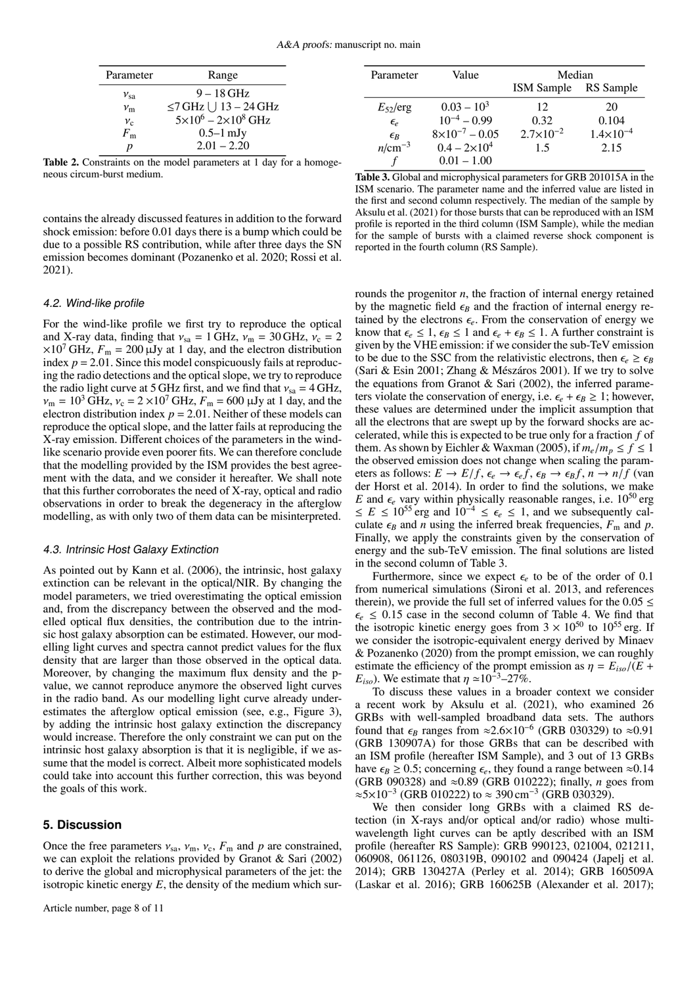| Parameter     | Range                               |
|---------------|-------------------------------------|
| $v_{\rm sa}$  | $9-18$ GHz                          |
| $\nu_{\rm m}$ | $\leq$ 7 GHz $\vert$ 13 – 24 GHz    |
| $v_{c}$       | $5 \times 10^6 - 2 \times 10^8$ GHz |
| $F_{\rm m}$   | $0.5-1$ mJy                         |
| n             | $2.01 - 2.20$                       |

<span id="page-7-1"></span>Table 2. Constraints on the model parameters at 1 day for a homogeneous circum-burst medium.

contains the already discussed features in addition to the forward shock emission: before 0.01 days there is a bump which could be due to a possible RS contribution, while after three days the SN emission becomes dominant [\(Pozanenko et al. 2020;](#page-10-43) [Rossi et al.](#page-10-73) [2021\)](#page-10-73).

#### 4.2. Wind-like profile

For the wind-like profile we first try to reproduce the optical and X-ray data, finding that  $v_{sa} = 1 \text{ GHz}, v_{m} = 30 \text{ GHz}, v_c = 2$  $\times 10^7$  GHz,  $F_m = 200 \mu Jy$  at 1 day, and the electron distribution index  $p = 2.01$ . Since this model conspicuously fails at reproducing the radio detections and the optical slope, we try to reproduce the radio light curve at 5 GHz first, and we find that  $v_{sa} = 4$  GHz,  $v_m = 10^3$  GHz,  $v_c = 2 \times 10^7$  GHz,  $F_m = 600$  µJy at 1 day, and the electron distribution index  $p = 2.01$ . Neither of these models can reproduce the optical slope, and the latter fails at reproducing the X-ray emission. Different choices of the parameters in the windlike scenario provide even poorer fits. We can therefore conclude that the modelling provided by the ISM provides the best agreement with the data, and we consider it hereafter. We shall note that this further corroborates the need of X-ray, optical and radio observations in order to break the degeneracy in the afterglow modelling, as with only two of them data can be misinterpreted.

#### 4.3. Intrinsic Host Galaxy Extinction

As pointed out by [Kann et al.](#page-10-80) [\(2006\)](#page-10-80), the intrinsic, host galaxy extinction can be relevant in the optical/NIR. By changing the model parameters, we tried overestimating the optical emission and, from the discrepancy between the observed and the modelled optical flux densities, the contribution due to the intrinsic host galaxy absorption can be estimated. However, our modelling light curves and spectra cannot predict values for the flux density that are larger than those observed in the optical data. Moreover, by changing the maximum flux density and the pvalue, we cannot reproduce anymore the observed light curves in the radio band. As our modelling light curve already underestimates the afterglow optical emission (see, e.g., Figure [3\)](#page-6-0), by adding the intrinsic host galaxy extinction the discrepancy would increase. Therefore the only constraint we can put on the intrinsic host galaxy absorption is that it is negligible, if we assume that the model is correct. Albeit more sophisticated models could take into account this further correction, this was beyond the goals of this work.

# <span id="page-7-0"></span>**5. Discussion**

Once the free parameters  $v_{sa}$ ,  $v_m$ ,  $v_c$ ,  $F_m$  and  $p$  are constrained, we can exploit the relations provided by [Granot & Sari](#page-10-78) [\(2002\)](#page-10-78) to derive the global and microphysical parameters of the jet: the isotropic kinetic energy  $E$ , the density of the medium which sur-

| Parameter    | Value                   | Median             |                      |
|--------------|-------------------------|--------------------|----------------------|
|              |                         | <b>ISM</b> Sample  | RS Sample            |
| $E_{52}/erg$ | $0.03 - 10^3$           | 12                 | 20                   |
| $\epsilon_e$ | $10^{-4} - 0.99$        | 0.32               | 0.104                |
| $\epsilon_B$ | $8\times10^{-7} - 0.05$ | $2.7\times10^{-2}$ | $1.4 \times 10^{-4}$ |
| $n/cm^{-3}$  | $0.4 - 2 \times 10^4$   | 1.5                | 2.15                 |
|              | $0.01 - 1.00$           |                    |                      |

<span id="page-7-2"></span>Table 3. Global and microphysical parameters for GRB 201015A in the ISM scenario. The parameter name and the inferred value are listed in the first and second column respectively. The median of the sample by [Aksulu et al.](#page-9-10) [\(2021\)](#page-9-10) for those bursts that can be reproduced with an ISM profile is reported in the third column (ISM Sample), while the median for the sample of bursts with a claimed reverse shock component is reported in the fourth column (RS Sample).

rounds the progenitor *n*, the fraction of internal energy retained by the magnetic field  $\epsilon_B$  and the fraction of internal energy retained by the electrons  $\epsilon_e$ . From the conservation of energy we know that  $\epsilon_e \leq 1$ ,  $\epsilon_B \leq 1$  and  $\epsilon_e + \epsilon_B \leq 1$ . A further constraint is given by the VHE emission: if we consider the sub-TeV emission to be due to the SSC from the relativistic electrons, then  $\epsilon_e \geq \epsilon_B$ [\(Sari & Esin 2001;](#page-10-81) [Zhang & Mészáros 2001\)](#page-10-82). If we try to solve the equations from [Granot & Sari](#page-10-78) [\(2002\)](#page-10-78), the inferred parameters violate the conservation of energy, i.e.  $\epsilon_e + \epsilon_B \geq 1$ ; however, these values are determined under the implicit assumption that all the electrons that are swept up by the forward shocks are accelerated, while this is expected to be true only for a fraction *f* of them. As shown by [Eichler & Waxman](#page-10-83) [\(2005\)](#page-10-83), if  $m_e/m_p \le f \le 1$ the observed emission does not change when scaling the parameters as follows:  $E \to E/f$ ,  $\epsilon_e \to \epsilon_e f$ ,  $\epsilon_B \to \epsilon_B f$ ,  $n \to n/f$  [\(van](#page-10-84) [der Horst et al. 2014\)](#page-10-84). In order to find the solutions, we make *E* and  $\epsilon_e$  vary within physically reasonable ranges, i.e.  $10^{50}$  erg ≤  $E$  ≤ 10<sup>55</sup> erg and 10<sup>-4</sup> ≤  $\epsilon_e$  ≤ 1, and we subsequently calculate  $\epsilon_B$  and *n* using the inferred break frequencies,  $F_m$  and *p*. Finally, we apply the constraints given by the conservation of energy and the sub-TeV emission. The final solutions are listed in the second column of Table [3.](#page-7-2)

Furthermore, since we expect  $\epsilon_e$  to be of the order of 0.1 from numerical simulations [\(Sironi et al. 2013,](#page-10-85) and references therein), we provide the full set of inferred values for the  $0.05 \le$  $\epsilon_e \leq 0.15$  case in the second column of Table [4.](#page-8-1) We find that the isotropic kinetic energy goes from  $3 \times 10^{50}$  to  $10^{55}$  erg. If we consider the isotropic-equivalent energy derived by [Minaev](#page-10-51) [& Pozanenko](#page-10-51) [\(2020\)](#page-10-51) from the prompt emission, we can roughly estimate the efficiency of the prompt emission as  $\eta = E_{iso}/(E +$  $E_{iso}$ ). We estimate that  $\eta \approx 10^{-3} - 27\%$ .

To discuss these values in a broader context we consider a recent work by [Aksulu et al.](#page-9-10) [\(2021\)](#page-9-10), who examined 26 GRBs with well-sampled broadband data sets. The authors found that  $\epsilon_B$  ranges from ≈2.6×10<sup>-6</sup> (GRB 030329) to ≈0.91 (GRB 130907A) for those GRBs that can be described with (GRB 130907A) for those GRBs that can be described with an ISM profile (hereafter ISM Sample), and 3 out of 13 GRBs have  $\epsilon_B \ge 0.5$ ; concerning  $\epsilon_e$ , they found a range between  $\approx 0.14$ (GRB 090328) and ≈0.89 (GRB 010222); finally, *n* goes from  $\approx$ 5×10<sup>-3</sup> (GRB 010222) to  $\approx$  390 cm<sup>-3</sup> (GRB 030329).

We then consider long GRBs with a claimed RS detection (in X-rays and/or optical and/or radio) whose multiwavelength light curves can be aptly described with an ISM profile (hereafter RS Sample): GRB 990123, 021004, 021211, 060908, 061126, 080319B, 090102 and 090424 [\(Japelj et al.](#page-10-86) [2014\)](#page-10-86); GRB 130427A [\(Perley et al. 2014\)](#page-10-87); GRB 160509A [\(Laskar et al. 2016\)](#page-10-88); GRB 160625B [\(Alexander et al. 2017\)](#page-9-11);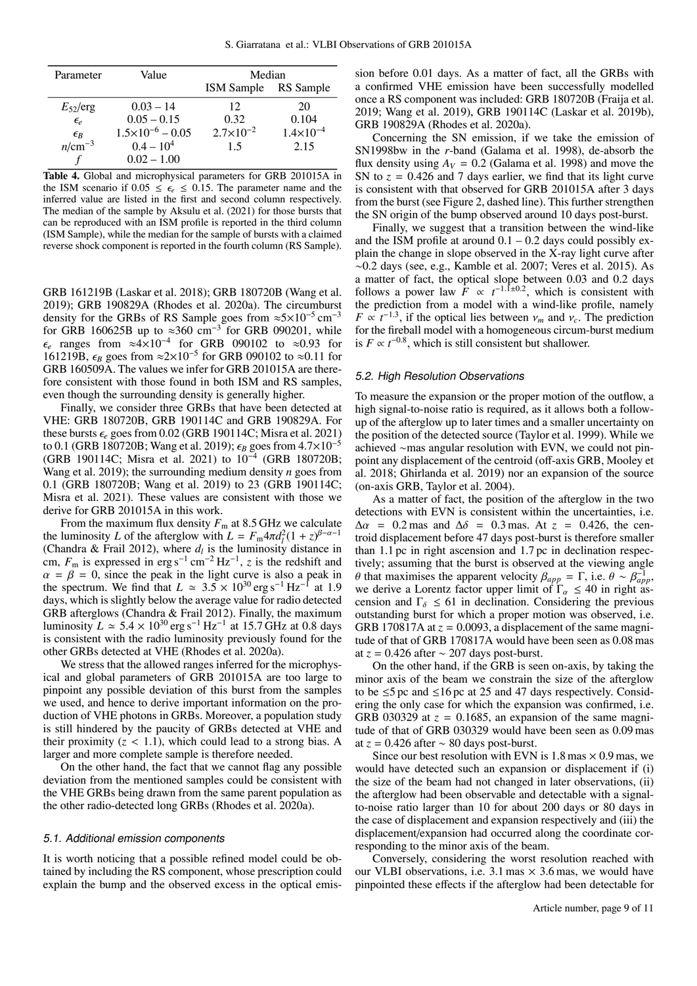| Parameter                      | Value                       | Median             |                      |  |
|--------------------------------|-----------------------------|--------------------|----------------------|--|
|                                |                             | <b>ISM</b> Sample  | RS Sample            |  |
| $E_{52}/erg$                   | $0.03 - 14$                 | 12                 | 20                   |  |
| $\epsilon_{e}$                 | $0.05 - 0.15$               | 0.32               | 0.104                |  |
|                                | $1.5 \times 10^{-6} - 0.05$ | $2.7\times10^{-2}$ | $1.4 \times 10^{-4}$ |  |
| $\frac{\epsilon_B}{n/cm^{-3}}$ | $0.4 - 10^4$                | 1.5                | 2.15                 |  |
|                                | $0.02 - 1.00$               |                    |                      |  |

<span id="page-8-1"></span>Table 4. Global and microphysical parameters for GRB 201015A in the ISM scenario if  $0.05 \le \epsilon$   $\le 0.15$ . The parameter name and the inferred value are listed in the first and second column respectively. The median of the sample by [Aksulu et al.](#page-9-10) [\(2021\)](#page-9-10) for those bursts that can be reproduced with an ISM profile is reported in the third column (ISM Sample), while the median for the sample of bursts with a claimed reverse shock component is reported in the fourth column (RS Sample).

GRB 161219B [\(Laskar et al. 2018\)](#page-10-89); GRB 180720B [\(Wang et al.](#page-10-90) [2019\)](#page-10-90); GRB 190829A [\(Rhodes et al. 2020a\)](#page-10-57). The circumburst density for the GRBs of RS Sample goes from  $\approx$ 5×10<sup>-5</sup> cm<sup>-3</sup> for GRB 160625B up to ≈360 cm<sup>-3</sup> for GRB 090201, while  $\epsilon_e$  ranges from ≈4×10<sup>-4</sup> for GRB 090102 to ≈0.93 for final to for GRB 090102 to ≈0.11 for 161219B,  $\epsilon_B$  goes from  $\approx$ 2×10<sup>-5</sup> for GRB 090102 to  $\approx$ 0.11 for GRB 160509A. The values we infer for GRB 201015A are there-GRB 160509A. The values we infer for GRB 201015A are therefore consistent with those found in both ISM and RS samples, even though the surrounding density is generally higher.

Finally, we consider three GRBs that have been detected at VHE: GRB 180720B, GRB 190114C and GRB 190829A. For these bursts  $\epsilon_e$  goes from 0.02 (GRB 190114C; [Misra et al. 2021\)](#page-10-91) to 0.1 (GRB 180720B; [Wang et al. 2019\)](#page-10-90);  $\epsilon_B$  goes from 4.7×10<sup>-5</sup> (GRB 190114C; [Misra et al. 2021\)](#page-10-91) to 10<sup>−</sup><sup>4</sup> (GRB 180720B; [Wang et al. 2019\)](#page-10-90); the surrounding medium density *n* goes from 0.1 (GRB 180720B; [Wang et al. 2019\)](#page-10-90) to 23 (GRB 190114C; [Misra et al. 2021\)](#page-10-91). These values are consistent with those we derive for GRB 201015A in this work.

From the maximum flux density  $F_m$  at 8.5 GHz we calculate the luminosity *L* of the afterglow with  $L = F_m 4\pi d_l^2 (1 + z)^{\beta - \alpha - 1}$ <br>(Chandra & Frail 2012) where *d<sub>i</sub>* is the luminosity distance in [\(Chandra & Frail 2012\)](#page-10-17), where  $d_l$  is the luminosity distance in cm,  $F_m$  is expressed in erg s<sup>-1</sup> cm<sup>-2</sup> Hz<sup>-1</sup>, *z* is the redshift and  $\alpha = \beta = 0$ , since the peak in the light curve is also a peak in the spectrum. We find that  $L \approx 3.5 \times 10^{30}$  erg s<sup>-1</sup> Hz<sup>-1</sup> at 1.9 the spectrum. We find that  $L \approx 3.5 \times 10^{30}$  erg s<sup>-1</sup> Hz<sup>-1</sup> at 1.9 days which is slightly below the average value for radio detected days, which is slightly below the average value for radio detected GRB afterglows [\(Chandra & Frail 2012\)](#page-10-17). Finally, the maximum luminosity  $L \approx 5.4 \times 10^{30}$  erg s<sup>-1</sup> Hz<sup>-1</sup> at 15.7 GHz at 0.8 days<br>is consistent with the radio luminosity previously found for the is consistent with the radio luminosity previously found for the other GRBs detected at VHE [\(Rhodes et al. 2020a\)](#page-10-57).

We stress that the allowed ranges inferred for the microphysical and global parameters of GRB 201015A are too large to pinpoint any possible deviation of this burst from the samples we used, and hence to derive important information on the production of VHE photons in GRBs. Moreover, a population study is still hindered by the paucity of GRBs detected at VHE and their proximity  $(z < 1.1)$ , which could lead to a strong bias. A larger and more complete sample is therefore needed.

On the other hand, the fact that we cannot flag any possible deviation from the mentioned samples could be consistent with the VHE GRBs being drawn from the same parent population as the other radio-detected long GRBs [\(Rhodes et al. 2020a\)](#page-10-57).

## <span id="page-8-0"></span>5.1. Additional emission components

It is worth noticing that a possible refined model could be obtained by including the RS component, whose prescription could explain the bump and the observed excess in the optical emission before 0.01 days. As a matter of fact, all the GRBs with a confirmed VHE emission have been successfully modelled once a RS component was included: GRB 180720B [\(Fraija et al.](#page-10-92) [2019;](#page-10-92) [Wang et al. 2019\)](#page-10-90), GRB 190114C [\(Laskar et al. 2019b\)](#page-10-93), GRB 190829A [\(Rhodes et al. 2020a\)](#page-10-57).

Concerning the SN emission, if we take the emission of SN1998bw in the *r*-band [\(Galama et al. 1998\)](#page-10-3), de-absorb the flux density using  $A_V = 0.2$  [\(Galama et al. 1998\)](#page-10-3) and move the SN to  $z = 0.426$  and 7 days earlier, we find that its light curve is consistent with that observed for GRB 201015A after 3 days from the burst (see Figure [2,](#page-5-0) dashed line). This further strengthen the SN origin of the bump observed around 10 days post-burst.

Finally, we suggest that a transition between the wind-like and the ISM profile at around  $0.1 - 0.2$  days could possibly explain the change in slope observed in the X-ray light curve after ∼0.2 days (see, e.g., [Kamble et al. 2007;](#page-10-94) [Veres et al. 2015\)](#page-10-95). As a matter of fact, the optical slope between 0.03 and 0.2 days follows a power law  $\overline{F} \propto t^{-1.1 \pm 0.2}$ , which is consistent with the prediction from a model with a wind-like profile, namely  $F \propto t^{-1.3}$ , if the optical lies between  $v_m$  and  $v_c$ . The prediction for the fireball model with a homogeneous circum-burst medium for the fireball model with a homogeneous circum-burst medium is  $F \propto t^{-0.8}$ , which is still consistent but shallower.

#### 5.2. High Resolution Observations

To measure the expansion or the proper motion of the outflow, a high signal-to-noise ratio is required, as it allows both a followup of the afterglow up to later times and a smaller uncertainty on the position of the detected source [\(Taylor et al. 1999\)](#page-10-69). While we achieved ∼mas angular resolution with EVN, we could not pinpoint any displacement of the centroid (off-axis GRB, [Mooley et](#page-10-22) [al. 2018;](#page-10-22) [Ghirlanda et al. 2019\)](#page-10-23) nor an expansion of the source (on-axis GRB, [Taylor et al. 2004\)](#page-10-21).

As a matter of fact, the position of the afterglow in the two detections with EVN is consistent within the uncertainties, i.e.  $\Delta \alpha$  = 0.2 mas and  $\Delta \delta$  = 0.3 mas. At *z* = 0.426, the centroid displacement before 47 days post-burst is therefore smaller than 1.1 pc in right ascension and 1.7 pc in declination respectively; assuming that the burst is observed at the viewing angle θ that maximises the apparent velocity  $β_{app} = Γ$ , i.e.  $θ ~ √ β_{app}^{-1}$ , we derive a Lorentz factor upper limit of Γ<sub>α</sub> < 40 in right as we derive a Lorentz factor upper limit of  $\Gamma_{\alpha} \leq 40$  in right as-<br>cension and  $\Gamma_{\alpha} \leq 61$  in declination. Considering the previous cension and  $\Gamma_{\delta} \leq 61$  in declination. Considering the previous outstanding burst for which a proper motion was observed, i.e. GRB 170817A at  $z = 0.0093$ , a displacement of the same magnitude of that of GRB 170817A would have been seen as 0.08 mas at  $z = 0.426$  after  $\sim 207$  days post-burst.

On the other hand, if the GRB is seen on-axis, by taking the minor axis of the beam we constrain the size of the afterglow to be  $\leq$ 5 pc and  $\leq$ 16 pc at 25 and 47 days respectively. Considering the only case for which the expansion was confirmed, i.e. GRB 030329 at  $z = 0.1685$ , an expansion of the same magnitude of that of GRB 030329 would have been seen as 0.09 mas at  $z = 0.426$  after  $\sim 80$  days post-burst.

Since our best resolution with EVN is  $1.8 \text{ mas} \times 0.9 \text{ mas}$ , we would have detected such an expansion or displacement if (i) the size of the beam had not changed in later observations, (ii) the afterglow had been observable and detectable with a signalto-noise ratio larger than 10 for about 200 days or 80 days in the case of displacement and expansion respectively and (iii) the displacement/expansion had occurred along the coordinate corresponding to the minor axis of the beam.

Conversely, considering the worst resolution reached with our VLBI observations, i.e.  $3.1 \text{ mas} \times 3.6 \text{ mas}$ , we would have pinpointed these effects if the afterglow had been detectable for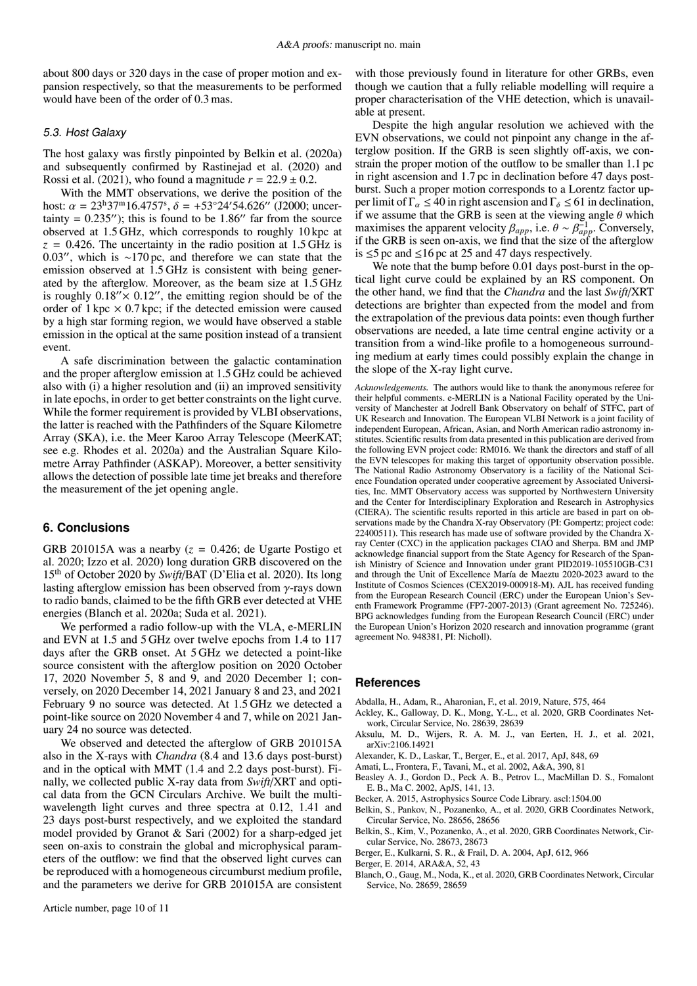about 800 days or 320 days in the case of proper motion and expansion respectively, so that the measurements to be performed would have been of the order of 0.3 mas.

### 5.3. Host Galaxy

The host galaxy was firstly pinpointed by [Belkin et al.](#page-9-3) [\(2020a\)](#page-9-3) and subsequently confirmed by [Rastinejad et al.](#page-10-39) [\(2020\)](#page-10-39) and [Rossi et al.](#page-10-73) [\(2021\)](#page-10-73), who found a magnitude  $r = 22.9 \pm 0.2$ .

With the MMT observations, we derive the position of the host:  $\alpha = 23^{\text{h}}37^{\text{m}}16.4757^{\text{s}}, \delta = +53^{\circ}24'54.626''$  (J2000; uncertainty = 0.235″); this is found to be 1.86″ far from the source tainty =  $0.235''$ ; this is found to be 1.86" far from the source observed at 1.5 GHz, which corresponds to roughly 10 kpc at  $z = 0.426$ . The uncertainty in the radio position at 1.5 GHz is 0.03", which is ∼170 pc, and therefore we can state that the emission observed at 1.5 GHz is consistent with being generated by the afterglow. Moreover, as the beam size at 1.5 GHz is roughly  $0.18'' \times 0.12''$ , the emitting region should be of the order of  $1 \text{ kpc} \times 0.7 \text{ kpc}$ ; if the detected emission were caused by a high star forming region, we would have observed a stable emission in the optical at the same position instead of a transient event.

A safe discrimination between the galactic contamination and the proper afterglow emission at 1.5 GHz could be achieved also with (i) a higher resolution and (ii) an improved sensitivity in late epochs, in order to get better constraints on the light curve. While the former requirement is provided by VLBI observations, the latter is reached with the Pathfinders of the Square Kilometre Array (SKA), i.e. the Meer Karoo Array Telescope (MeerKAT; see e.g. [Rhodes et al. 2020a\)](#page-10-57) and the Australian Square Kilometre Array Pathfinder (ASKAP). Moreover, a better sensitivity allows the detection of possible late time jet breaks and therefore the measurement of the jet opening angle.

#### <span id="page-9-7"></span>**6. Conclusions**

GRB 201015A was a nearby  $(z = 0.426$ ; [de Ugarte Postigo et](#page-10-35) [al. 2020;](#page-10-35) [Izzo et al. 2020\)](#page-10-52) long duration GRB discovered on the 15th of October 2020 by *Swift*/BAT [\(D'Elia et al. 2020\)](#page-10-30). Its long lasting afterglow emission has been observed from  $\gamma$ -rays down to radio bands, claimed to be the fifth GRB ever detected at VHE energies [\(Blanch et al. 2020a;](#page-9-5) [Suda et al. 2021\)](#page-10-50).

We performed a radio follow-up with the VLA, e-MERLIN and EVN at 1.5 and 5 GHz over twelve epochs from 1.4 to 117 days after the GRB onset. At 5 GHz we detected a point-like source consistent with the afterglow position on 2020 October 17, 2020 November 5, 8 and 9, and 2020 December 1; conversely, on 2020 December 14, 2021 January 8 and 23, and 2021 February 9 no source was detected. At 1.5 GHz we detected a point-like source on 2020 November 4 and 7, while on 2021 January 24 no source was detected.

We observed and detected the afterglow of GRB 201015A also in the X-rays with *Chandra* (8.4 and 13.6 days post-burst) and in the optical with MMT (1.4 and 2.2 days post-burst). Finally, we collected public X-ray data from *Swift*/XRT and optical data from the GCN Circulars Archive. We built the multiwavelength light curves and three spectra at 0.12, 1.41 and 23 days post-burst respectively, and we exploited the standard model provided by [Granot & Sari](#page-10-78) [\(2002\)](#page-10-78) for a sharp-edged jet seen on-axis to constrain the global and microphysical parameters of the outflow: we find that the observed light curves can be reproduced with a homogeneous circumburst medium profile, and the parameters we derive for GRB 201015A are consistent

with those previously found in literature for other GRBs, even though we caution that a fully reliable modelling will require a proper characterisation of the VHE detection, which is unavailable at present.

Despite the high angular resolution we achieved with the EVN observations, we could not pinpoint any change in the afterglow position. If the GRB is seen slightly off-axis, we constrain the proper motion of the outflow to be smaller than 1.1 pc in right ascension and 1.7 pc in declination before 47 days postburst. Such a proper motion corresponds to a Lorentz factor upper limit of  $\Gamma_{\alpha} \leq 40$  in right ascension and  $\Gamma_{\delta} \leq 61$  in declination, if we assume that the GRB is seen at the viewing angle  $\theta$  which maximises the apparent velocity  $\beta_{app}$ , i.e.  $\theta \sim \beta_{app}^{-1}$ . Conversely, if the GRB is seen on-axis, we find that the size of the afterglow if the GRB is seen on-axis, we find that the size of the afterglow is ≤5 pc and ≤16 pc at 25 and 47 days respectively.

We note that the bump before 0.01 days post-burst in the optical light curve could be explained by an RS component. On the other hand, we find that the *Chandra* and the last *Swift*/XRT detections are brighter than expected from the model and from the extrapolation of the previous data points: even though further observations are needed, a late time central engine activity or a transition from a wind-like profile to a homogeneous surrounding medium at early times could possibly explain the change in the slope of the X-ray light curve.

*Acknowledgements.* The authors would like to thank the anonymous referee for their helpful comments. e-MERLIN is a National Facility operated by the University of Manchester at Jodrell Bank Observatory on behalf of STFC, part of UK Research and Innovation. The European VLBI Network is a joint facility of independent European, African, Asian, and North American radio astronomy institutes. Scientific results from data presented in this publication are derived from the following EVN project code: RM016. We thank the directors and staff of all the EVN telescopes for making this target of opportunity observation possible. The National Radio Astronomy Observatory is a facility of the National Science Foundation operated under cooperative agreement by Associated Universities, Inc. MMT Observatory access was supported by Northwestern University and the Center for Interdisciplinary Exploration and Research in Astrophysics (CIERA). The scientific results reported in this article are based in part on observations made by the Chandra X-ray Observatory (PI: Gompertz; project code: 22400511). This research has made use of software provided by the Chandra Xray Center (CXC) in the application packages CIAO and Sherpa. BM and JMP acknowledge financial support from the State Agency for Research of the Spanish Ministry of Science and Innovation under grant PID2019-105510GB-C31 and through the Unit of Excellence María de Maeztu 2020-2023 award to the Institute of Cosmos Sciences (CEX2019-000918-M). AJL has received funding from the European Research Council (ERC) under the European Union's Seventh Framework Programme (FP7-2007-2013) (Grant agreement No. 725246). BPG acknowledges funding from the European Research Council (ERC) under the European Union's Horizon 2020 research and innovation programme (grant agreement No. 948381, PI: Nicholl).

#### **References**

- <span id="page-9-1"></span>Abdalla, H., Adam, R., Aharonian, F., et al. 2019, Nature, 575, 464
- <span id="page-9-2"></span>Ackley, K., Galloway, D. K., Mong, Y.-L., et al. 2020, GRB Coordinates Network, Circular Service, No. 28639, 28639
- <span id="page-9-10"></span>Aksulu, M. D., Wijers, R. A. M. J., van Eerten, H. J., et al. 2021, [arXiv:2106.14921](http://arxiv.org/abs/2106.14921)
- <span id="page-9-11"></span>Alexander, K. D., Laskar, T., Berger, E., et al. 2017, ApJ, 848, 69
- <span id="page-9-6"></span>Amati, L., Frontera, F., Tavani, M., et al. 2002, A&A, 390, 81
- <span id="page-9-9"></span>Beasley A. J., Gordon D., Peck A. B., Petrov L., MacMillan D. S., Fomalont E. B., Ma C. 2002, ApJS, 141, 13.
- <span id="page-9-8"></span>Becker, A. 2015, Astrophysics Source Code Library. ascl:1504.00
- <span id="page-9-3"></span>Belkin, S., Pankov, N., Pozanenko, A., et al. 2020, GRB Coordinates Network, Circular Service, No. 28656, 28656
- <span id="page-9-4"></span>Belkin, S., Kim, V., Pozanenko, A., et al. 2020, GRB Coordinates Network, Circular Service, No. 28673, 28673
- <span id="page-9-0"></span>Berger, E., Kulkarni, S. R., & Frail, D. A. 2004, ApJ, 612, 966
- Berger, E. 2014, ARA&A, 52, 43
- <span id="page-9-5"></span>Blanch, O., Gaug, M., Noda, K., et al. 2020, GRB Coordinates Network, Circular Service, No. 28659, 28659